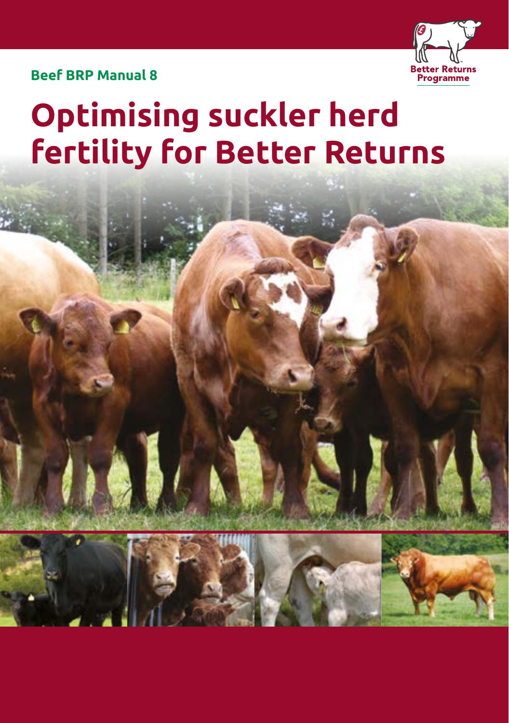

**Beef BRP Manual 8**

# **Optimising suckler herd fertility for Better Returns**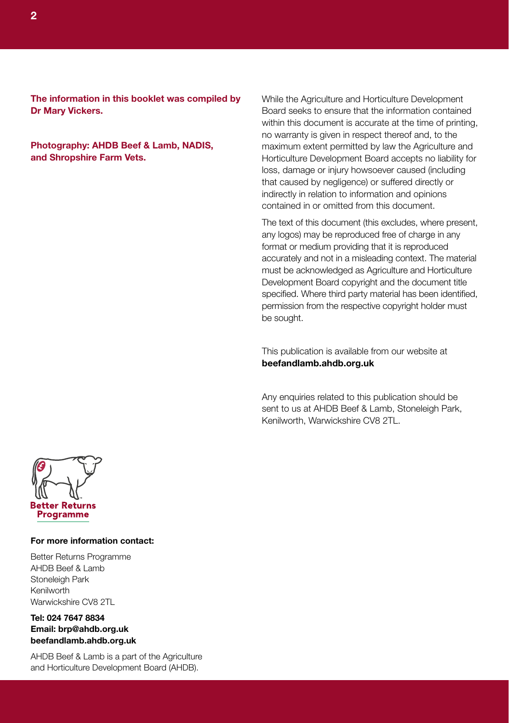**The information in this booklet was compiled by Dr Mary Vickers.**

**Photography: AHDB Beef & Lamb, NADIS, and Shropshire Farm Vets.**

While the Agriculture and Horticulture Development Board seeks to ensure that the information contained within this document is accurate at the time of printing, no warranty is given in respect thereof and, to the maximum extent permitted by law the Agriculture and Horticulture Development Board accepts no liability for loss, damage or injury howsoever caused (including that caused by negligence) or suffered directly or indirectly in relation to information and opinions contained in or omitted from this document.

The text of this document (this excludes, where present, any logos) may be reproduced free of charge in any format or medium providing that it is reproduced accurately and not in a misleading context. The material must be acknowledged as Agriculture and Horticulture Development Board copyright and the document title specified. Where third party material has been identified, permission from the respective copyright holder must be sought.

This publication is available from our website at **beefandlamb.ahdb.org.uk**

Any enquiries related to this publication should be sent to us at AHDB Beef & Lamb, Stoneleigh Park, Kenilworth, Warwickshire CV8 2TL.



#### **For more information contact:**

Better Returns Programme AHDB Beef & Lamb Stoneleigh Park Kenilworth Warwickshire CV8 2TL

#### **Tel: 024 7647 8834 Email: brp@ahdb.org.uk beefandlamb.ahdb.org.uk**

AHDB Beef & Lamb is a part of the Agriculture and Horticulture Development Board (AHDB).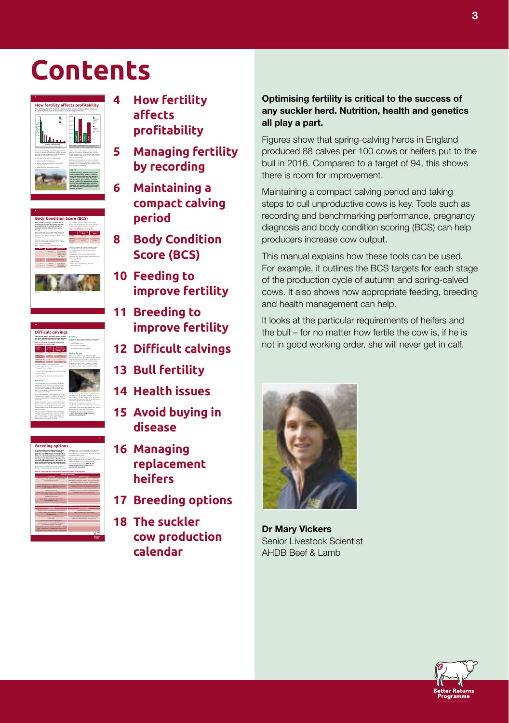## **Contents**









- **4 How fertility affects profitability**
- **5 Managing fertility by recording**
- **6 Maintaining a compact calving period**
- **8 Body Condition Score (BCS)**
- **10 Feeding to improve fertility**
- **11 Breeding to improve fertility**
- **12 Difficult calvings**
- **13 Bull fertility**
- **14 Health issues**
- **15 Avoid buying in disease**
- **16 Managing replacement heifers**
- **17 Breeding options**
- **18 The suckler cow production calendar**

#### **Optimising fertility is critical to the success of any suckler herd. Nutrition, health and genetics all play a part.**

Figures show that spring-calving herds in England produced 88 calves per 100 cows or heifers put to the bull in 2016. Compared to a target of 94, this shows there is room for improvement.

Maintaining a compact calving period and taking steps to cull unproductive cows is key. Tools such as recording and benchmarking performance, pregnancy diagnosis and body condition scoring (BCS) can help producers increase cow output.

This manual explains how these tools can be used. For example, it outlines the BCS targets for each stage of the production cycle of autumn and spring-calved cows. It also shows how appropriate feeding, breeding and health management can help.

It looks at the particular requirements of heifers and the bull – for no matter how fertile the cow is, if he is not in good working order, she will never get in calf.



**Dr Mary Vickers** Senior Livestock Scientist AHDB Beef & Lamb

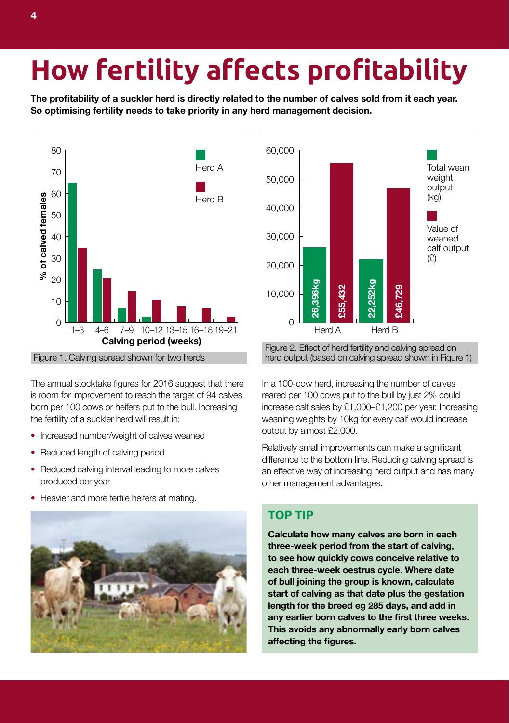# **How fertility affects profitability**

**The profitability of a suckler herd is directly related to the number of calves sold from it each year. So optimising fertility needs to take priority in any herd management decision.** 



The annual stocktake figures for 2016 suggest that there is room for improvement to reach the target of 94 calves born per 100 cows or heifers put to the bull. Increasing the fertility of a suckler herd will result in:

- **•** Increased number/weight of calves weaned
- **•** Reduced length of calving period
- Reduced calving interval leading to more calves produced per year
- **•** Heavier and more fertile heifers at mating.





In a 100-cow herd, increasing the number of calves reared per 100 cows put to the bull by just 2% could increase calf sales by £1,000–£1,200 per year. Increasing weaning weights by 10kg for every calf would increase output by almost £2,000.

Relatively small improvements can make a significant difference to the bottom line. Reducing calving spread is an effective way of increasing herd output and has many other management advantages.

### **TOP TIP**

**Calculate how many calves are born in each three-week period from the start of calving, to see how quickly cows conceive relative to each three-week oestrus cycle. Where date of bull joining the group is known, calculate start of calving as that date plus the gestation length for the breed eg 285 days, and add in any earlier born calves to the first three weeks. This avoids any abnormally early born calves affecting the figures.**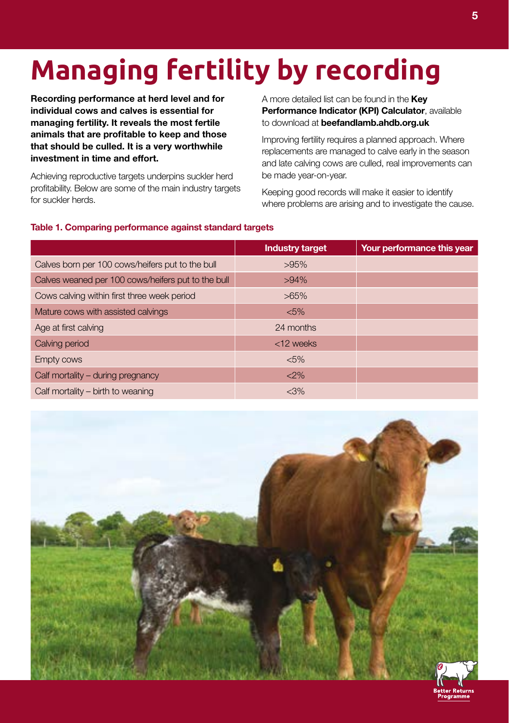# **Managing fertility by recording**

**Recording performance at herd level and for individual cows and calves is essential for managing fertility. It reveals the most fertile animals that are profitable to keep and those that should be culled. It is a very worthwhile investment in time and effort.** 

Achieving reproductive targets underpins suckler herd profitability. Below are some of the main industry targets for suckler herds.

A more detailed list can be found in the **Key Performance Indicator (KPI) Calculator**, available to download at **beefandlamb.ahdb.org.uk** 

Improving fertility requires a planned approach. Where replacements are managed to calve early in the season and late calving cows are culled, real improvements can be made year-on-year.

Keeping good records will make it easier to identify where problems are arising and to investigate the cause.

#### **Table 1. Comparing performance against standard targets**

|                                                    | <b>Industry target</b> | Your performance this year |
|----------------------------------------------------|------------------------|----------------------------|
| Calves born per 100 cows/heifers put to the bull   | >95%                   |                            |
| Calves weaned per 100 cows/heifers put to the bull | $>94\%$                |                            |
| Cows calving within first three week period        | $>65\%$                |                            |
| Mature cows with assisted calvings                 | $< 5\%$                |                            |
| Age at first calving                               | 24 months              |                            |
| Calving period                                     | <12 weeks              |                            |
| Empty cows                                         | $< 5\%$                |                            |
| Calf mortality – during pregnancy                  | $<$ 2%                 |                            |
| Calf mortality – birth to weaning                  | $<$ 3%                 |                            |



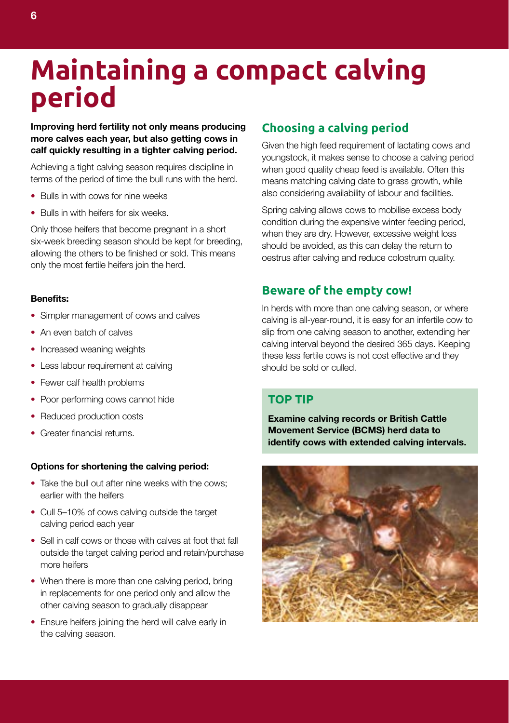### **Maintaining a compact calving period**

**Improving herd fertility not only means producing more calves each year, but also getting cows in calf quickly resulting in a tighter calving period.** 

Achieving a tight calving season requires discipline in terms of the period of time the bull runs with the herd.

- **•** Bulls in with cows for nine weeks
- **•** Bulls in with heifers for six weeks.

Only those heifers that become pregnant in a short six-week breeding season should be kept for breeding, allowing the others to be finished or sold. This means only the most fertile heifers join the herd.

#### **Benefits:**

- **•** Simpler management of cows and calves
- **•** An even batch of calves
- **•** Increased weaning weights
- **•** Less labour requirement at calving
- **•** Fewer calf health problems
- **•** Poor performing cows cannot hide
- **•** Reduced production costs
- **•** Greater financial returns.

#### **Options for shortening the calving period:**

- Take the bull out after nine weeks with the cows; earlier with the heifers
- Cull 5–10% of cows calving outside the target calving period each year
- Sell in calf cows or those with calves at foot that fall outside the target calving period and retain/purchase more heifers
- When there is more than one calving period, bring in replacements for one period only and allow the other calving season to gradually disappear
- Ensure heifers joining the herd will calve early in the calving season.

### **Choosing a calving period**

Given the high feed requirement of lactating cows and youngstock, it makes sense to choose a calving period when good quality cheap feed is available. Often this means matching calving date to grass growth, while also considering availability of labour and facilities.

Spring calving allows cows to mobilise excess body condition during the expensive winter feeding period, when they are dry. However, excessive weight loss should be avoided, as this can delay the return to oestrus after calving and reduce colostrum quality.

#### **Beware of the empty cow!**

In herds with more than one calving season, or where calving is all-year-round, it is easy for an infertile cow to slip from one calving season to another, extending her calving interval beyond the desired 365 days. Keeping these less fertile cows is not cost effective and they should be sold or culled.

#### **TOP TIP**

**Examine calving records or British Cattle Movement Service (BCMS) herd data to identify cows with extended calving intervals.** 

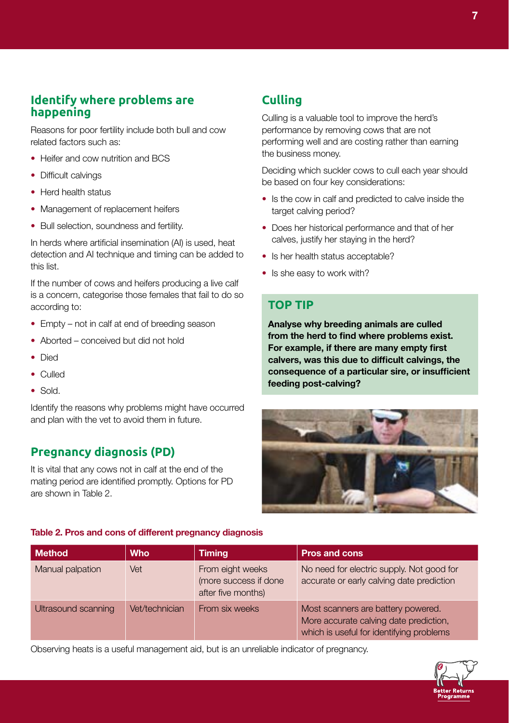### **Identify where problems are happening**

Reasons for poor fertility include both bull and cow related factors such as:

- **•** Heifer and cow nutrition and BCS
- **•** Difficult calvings
- **•** Herd health status
- **•** Management of replacement heifers
- **•** Bull selection, soundness and fertility.

In herds where artificial insemination (AI) is used, heat detection and AI technique and timing can be added to this list.

If the number of cows and heifers producing a live calf is a concern, categorise those females that fail to do so according to:

- **•** Empty not in calf at end of breeding season
- **•** Aborted conceived but did not hold
- **•** Died
- **•** Culled
- **•** Sold.

Identify the reasons why problems might have occurred and plan with the vet to avoid them in future.

### **Pregnancy diagnosis (PD)**

It is vital that any cows not in calf at the end of the mating period are identified promptly. Options for PD are shown in Table 2.

### **Culling**

Culling is a valuable tool to improve the herd's performance by removing cows that are not performing well and are costing rather than earning the business money.

Deciding which suckler cows to cull each year should be based on four key considerations:

- Is the cow in calf and predicted to calve inside the target calving period?
- Does her historical performance and that of her calves, justify her staying in the herd?
- **•** Is her health status acceptable?
- **•** Is she easy to work with?

#### **TOP TIP**

**Analyse why breeding animals are culled from the herd to find where problems exist. For example, if there are many empty first calvers, was this due to difficult calvings, the consequence of a particular sire, or insufficient feeding post-calving?** 



#### **Table 2. Pros and cons of different pregnancy diagnosis**

| <b>Method</b>       | <b>Who</b>     | <b>Timing</b>                                                   | <b>Pros and cons</b>                                                                                                     |
|---------------------|----------------|-----------------------------------------------------------------|--------------------------------------------------------------------------------------------------------------------------|
| Manual palpation    | Vet            | From eight weeks<br>(more success if done<br>after five months) | No need for electric supply. Not good for<br>accurate or early calving date prediction                                   |
| Ultrasound scanning | Vet/technician | From six weeks                                                  | Most scanners are battery powered.<br>More accurate calving date prediction,<br>which is useful for identifying problems |

Observing heats is a useful management aid, but is an unreliable indicator of pregnancy.

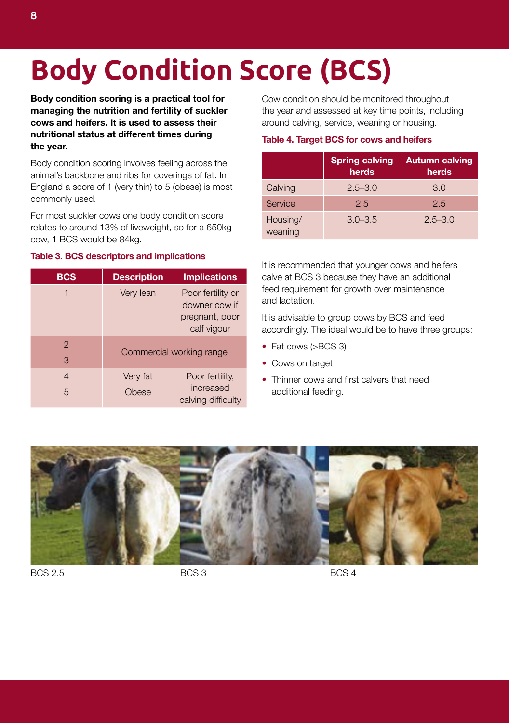# **Body Condition Score (BCS)**

**Body condition scoring is a practical tool for managing the nutrition and fertility of suckler cows and heifers. It is used to assess their nutritional status at different times during the year.** 

Body condition scoring involves feeling across the animal's backbone and ribs for coverings of fat. In England a score of 1 (very thin) to 5 (obese) is most commonly used.

For most suckler cows one body condition score relates to around 13% of liveweight, so for a 650kg cow, 1 BCS would be 84kg.

#### **Table 3. BCS descriptors and implications**

| <b>BCS</b> | <b>Description</b> | <b>Implications</b>                                                 |  |
|------------|--------------------|---------------------------------------------------------------------|--|
| 1          | Very lean          | Poor fertility or<br>downer cow if<br>pregnant, poor<br>calf vigour |  |
| 2          |                    |                                                                     |  |
| 3          |                    | Commercial working range                                            |  |
| 4          | Very fat           | Poor fertility,                                                     |  |
| 5          | Obese              | increased<br>calving difficulty                                     |  |

Cow condition should be monitored throughout the year and assessed at key time points, including around calving, service, weaning or housing.

#### **Table 4. Target BCS for cows and heifers**

|                     | <b>Spring calving</b><br>herds | <b>Autumn calving</b><br>herds |
|---------------------|--------------------------------|--------------------------------|
| Calving             | $2.5 - 3.0$                    | 3.0                            |
| Service             | 2.5                            | 2.5                            |
| Housing/<br>weaning | $3.0 - 3.5$                    | $2.5 - 3.0$                    |

It is recommended that younger cows and heifers calve at BCS 3 because they have an additional feed requirement for growth over maintenance and lactation.

It is advisable to group cows by BCS and feed accordingly. The ideal would be to have three groups:

- **•** Fat cows (>BCS 3)
- **•** Cows on target
- Thinner cows and first calvers that need additional feeding.



BCS 2.5 BCS 3 BCS 3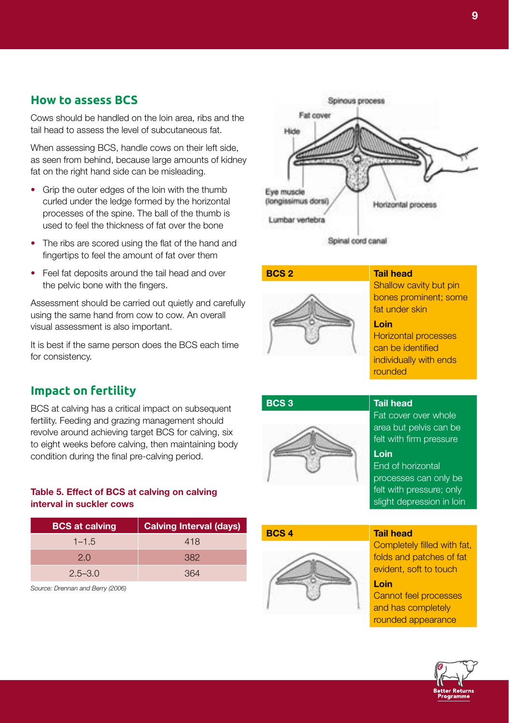#### **How to assess BCS**

Cows should be handled on the loin area, ribs and the tail head to assess the level of subcutaneous fat.

When assessing BCS, handle cows on their left side, as seen from behind, because large amounts of kidney fat on the right hand side can be misleading.

- Grip the outer edges of the loin with the thumb curled under the ledge formed by the horizontal processes of the spine. The ball of the thumb is used to feel the thickness of fat over the bone
- The ribs are scored using the flat of the hand and fingertips to feel the amount of fat over them
- Feel fat deposits around the tail head and over the pelvic bone with the fingers.

Assessment should be carried out quietly and carefully using the same hand from cow to cow. An overall visual assessment is also important.

It is best if the same person does the BCS each time for consistency.

### BCS at calving has a critical impact on subsequent

**Impact on fertility**

fertility. Feeding and grazing management should revolve around achieving target BCS for calving, six to eight weeks before calving, then maintaining body condition during the final pre-calving period.

#### **Table 5. Effect of BCS at calving on calving interval in suckler cows**

| <b>BCS at calving</b> | <b>Calving Interval (days)</b> |
|-----------------------|--------------------------------|
| $1 - 1.5$             | 418                            |
| 2.0                   | 382                            |
| $2.5 - 3.0$           | 364                            |

*Source: Drennan and Berry (2006)*



Spinal cord canal





Shallow cavity but pin bones prominent; some fat under skin

#### **Loin**

Horizontal processes can be identified individually with ends rounded



#### **BCS 3 Tail head**

Fat cover over whole area but pelvis can be felt with firm pressure

**Loin** End of horizontal processes can only be felt with pressure; only slight depression in loin

**BCS 4 Tail head**



Completely filled with fat, folds and patches of fat evident, soft to touch

**Loin**

Cannot feel processes and has completely rounded appearance

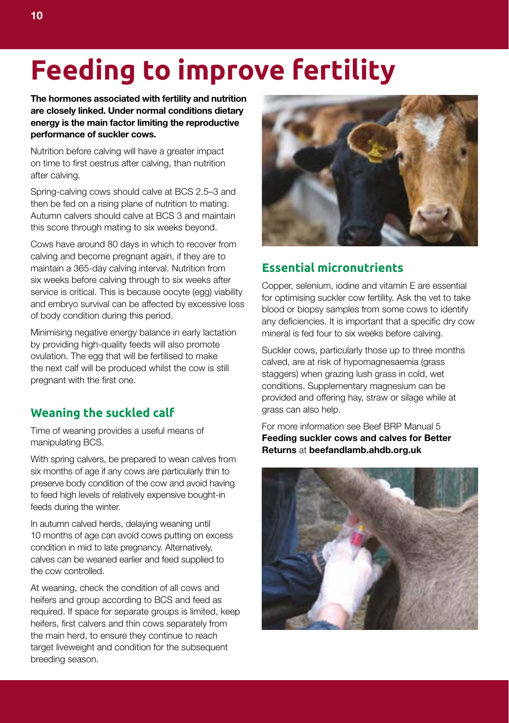# **Feeding to improve fertility**

**The hormones associated with fertility and nutrition are closely linked. Under normal conditions dietary energy is the main factor limiting the reproductive performance of suckler cows.** 

Nutrition before calving will have a greater impact on time to first oestrus after calving, than nutrition after calving.

Spring-calving cows should calve at BCS 2.5–3 and then be fed on a rising plane of nutrition to mating. Autumn calvers should calve at BCS 3 and maintain this score through mating to six weeks beyond.

Cows have around 80 days in which to recover from calving and become pregnant again, if they are to maintain a 365-day calving interval. Nutrition from six weeks before calving through to six weeks after service is critical. This is because oocyte (egg) viability and embryo survival can be affected by excessive loss of body condition during this period.

Minimising negative energy balance in early lactation by providing high-quality feeds will also promote ovulation. The egg that will be fertilised to make the next calf will be produced whilst the cow is still pregnant with the first one.

### **Weaning the suckled calf**

Time of weaning provides a useful means of manipulating BCS.

With spring calvers, be prepared to wean calves from six months of age if any cows are particularly thin to preserve body condition of the cow and avoid having to feed high levels of relatively expensive bought-in feeds during the winter.

In autumn calved herds, delaying weaning until 10 months of age can avoid cows putting on excess condition in mid to late pregnancy. Alternatively, calves can be weaned earlier and feed supplied to the cow controlled.

At weaning, check the condition of all cows and heifers and group according to BCS and feed as required. If space for separate groups is limited, keep heifers, first calvers and thin cows separately from the main herd, to ensure they continue to reach target liveweight and condition for the subsequent breeding season.



### **Essential micronutrients**

Copper, selenium, iodine and vitamin E are essential for optimising suckler cow fertility. Ask the vet to take blood or biopsy samples from some cows to identify any deficiencies. It is important that a specific dry cow mineral is fed four to six weeks before calving.

Suckler cows, particularly those up to three months calved, are at risk of hypomagnesaemia (grass staggers) when grazing lush grass in cold, wet conditions. Supplementary magnesium can be provided and offering hay, straw or silage while at grass can also help.

For more information see Beef BRP Manual 5 **Feeding suckler cows and calves for Better Returns** at **beefandlamb.ahdb.org.uk**

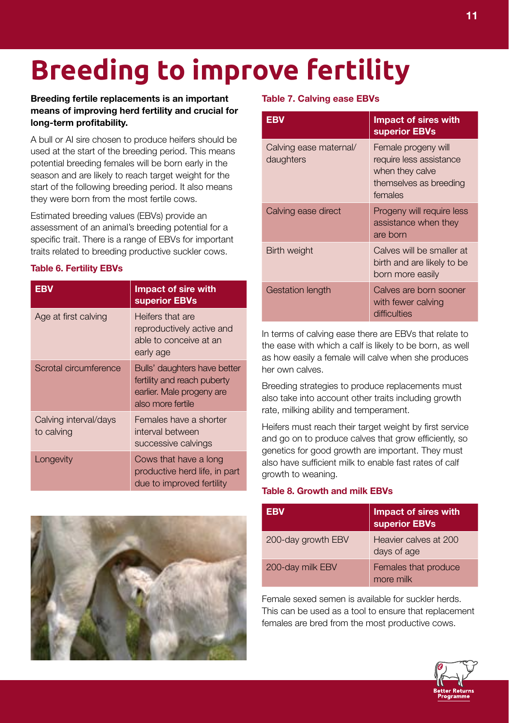# **Breeding to improve fertility**

#### **Breeding fertile replacements is an important means of improving herd fertility and crucial for long-term profitability.**

A bull or AI sire chosen to produce heifers should be used at the start of the breeding period. This means potential breeding females will be born early in the season and are likely to reach target weight for the start of the following breeding period. It also means they were born from the most fertile cows.

Estimated breeding values (EBVs) provide an assessment of an animal's breeding potential for a specific trait. There is a range of EBVs for important traits related to breeding productive suckler cows.

#### **Table 6. Fertility EBVs**

| <b>EBV</b>                          | <b>Impact of sire with</b><br>superior EBVs                                                                   |
|-------------------------------------|---------------------------------------------------------------------------------------------------------------|
| Age at first calving                | Heifers that are<br>reproductively active and<br>able to conceive at an<br>early age                          |
| Scrotal circumference               | Bulls' daughters have better<br>fertility and reach puberty<br>earlier. Male progeny are<br>also more fertile |
| Calving interval/days<br>to calving | Females have a shorter<br>interval between<br>successive calvings                                             |
| Longevity                           | Cows that have a long<br>productive herd life, in part<br>due to improved fertility                           |



#### **Table 7. Calving ease EBVs**

| <b>EBV</b>                          | <b>Impact of sires with</b><br>superior EBVs                                                           |
|-------------------------------------|--------------------------------------------------------------------------------------------------------|
| Calving ease maternal/<br>daughters | Female progeny will<br>require less assistance<br>when they calve<br>themselves as breeding<br>females |
| Calving ease direct                 | Progeny will require less<br>assistance when they<br>are born                                          |
| Birth weight                        | Calves will be smaller at<br>birth and are likely to be<br>born more easily                            |
| Gestation length                    | Calves are born sooner<br>with fewer calving<br>difficulties                                           |

In terms of calving ease there are EBVs that relate to the ease with which a calf is likely to be born, as well as how easily a female will calve when she produces her own calves.

Breeding strategies to produce replacements must also take into account other traits including growth rate, milking ability and temperament.

Heifers must reach their target weight by first service and go on to produce calves that grow efficiently, so genetics for good growth are important. They must also have sufficient milk to enable fast rates of calf growth to weaning.

#### **Table 8. Growth and milk EBVs**

| EBV                | <b>Impact of sires with<br/>superior EBVs</b> |
|--------------------|-----------------------------------------------|
| 200-day growth EBV | Heavier calves at 200<br>days of age          |
| 200-day milk EBV   | Females that produce<br>more milk             |

Female sexed semen is available for suckler herds. This can be used as a tool to ensure that replacement females are bred from the most productive cows.

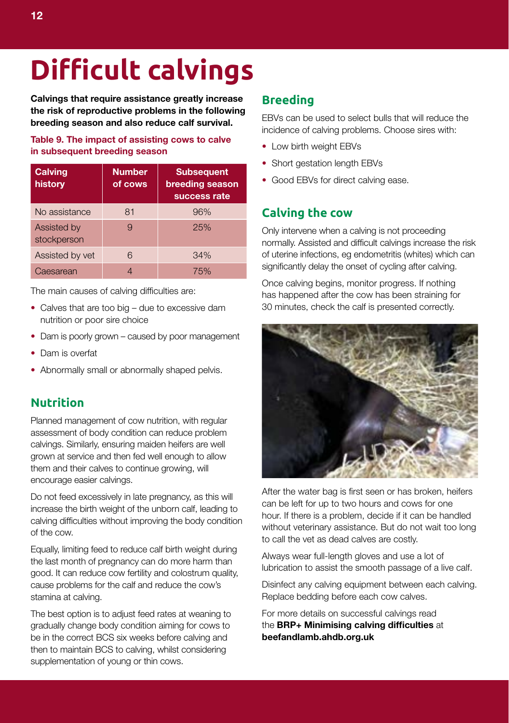# **Difficult calvings**

**Calvings that require assistance greatly increase the risk of reproductive problems in the following breeding season and also reduce calf survival.** 

#### **Table 9. The impact of assisting cows to calve in subsequent breeding season**

| <b>Calving</b><br>history  | <b>Number</b><br>of cows | <b>Subsequent</b><br>breeding season<br>success rate |
|----------------------------|--------------------------|------------------------------------------------------|
| No assistance              | 81                       | 96%                                                  |
| Assisted by<br>stockperson | 9                        | 25%                                                  |
| Assisted by vet            | 6                        | 34%                                                  |
| Caesarean                  |                          | 75%                                                  |

The main causes of calving difficulties are:

- Calves that are too big due to excessive dam nutrition or poor sire choice
- Dam is poorly grown caused by poor management
- Dam is overfat
- Abnormally small or abnormally shaped pelvis.

### **Nutrition**

Planned management of cow nutrition, with regular assessment of body condition can reduce problem calvings. Similarly, ensuring maiden heifers are well grown at service and then fed well enough to allow them and their calves to continue growing, will encourage easier calvings.

Do not feed excessively in late pregnancy, as this will increase the birth weight of the unborn calf, leading to calving difficulties without improving the body condition of the cow.

Equally, limiting feed to reduce calf birth weight during the last month of pregnancy can do more harm than good. It can reduce cow fertility and colostrum quality, cause problems for the calf and reduce the cow's stamina at calving.

The best option is to adjust feed rates at weaning to gradually change body condition aiming for cows to be in the correct BCS six weeks before calving and then to maintain BCS to calving, whilst considering supplementation of young or thin cows.

#### **Breeding**

EBVs can be used to select bulls that will reduce the incidence of calving problems. Choose sires with:

- Low birth weight EBVs
- Short gestation length EBVs
- Good EBVs for direct calving ease.

#### **Calving the cow**

Only intervene when a calving is not proceeding normally. Assisted and difficult calvings increase the risk of uterine infections, eg endometritis (whites) which can significantly delay the onset of cycling after calving.

Once calving begins, monitor progress. If nothing has happened after the cow has been straining for 30 minutes, check the calf is presented correctly.



After the water bag is first seen or has broken, heifers can be left for up to two hours and cows for one hour. If there is a problem, decide if it can be handled without veterinary assistance. But do not wait too long to call the vet as dead calves are costly.

Always wear full-length gloves and use a lot of lubrication to assist the smooth passage of a live calf.

Disinfect any calving equipment between each calving. Replace bedding before each cow calves.

For more details on successful calvings read the **BRP+ Minimising calving difficulties** at **beefandlamb.ahdb.org.uk**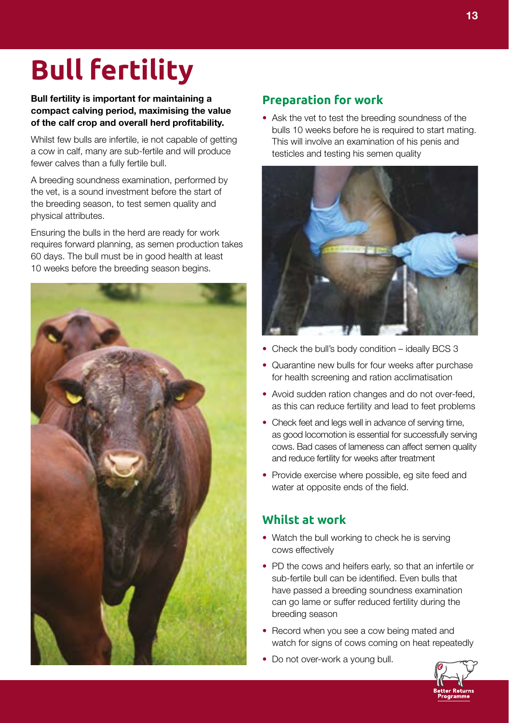# **Bull fertility**

**Bull fertility is important for maintaining a compact calving period, maximising the value of the calf crop and overall herd profitability.** 

Whilst few bulls are infertile, ie not capable of getting a cow in calf, many are sub-fertile and will produce fewer calves than a fully fertile bull.

A breeding soundness examination, performed by the vet, is a sound investment before the start of the breeding season, to test semen quality and physical attributes.

Ensuring the bulls in the herd are ready for work requires forward planning, as semen production takes 60 days. The bull must be in good health at least 10 weeks before the breeding season begins.



### **Preparation for work**

**•** Ask the vet to test the breeding soundness of the bulls 10 weeks before he is required to start mating. This will involve an examination of his penis and testicles and testing his semen quality



- Check the bull's body condition ideally BCS 3
- Quarantine new bulls for four weeks after purchase for health screening and ration acclimatisation
- Avoid sudden ration changes and do not over-feed, as this can reduce fertility and lead to feet problems
- Check feet and legs well in advance of serving time, as good locomotion is essential for successfully serving cows. Bad cases of lameness can affect semen quality and reduce fertility for weeks after treatment
- Provide exercise where possible, eg site feed and water at opposite ends of the field.

### **Whilst at work**

- Watch the bull working to check he is serving cows effectively
- PD the cows and heifers early, so that an infertile or sub-fertile bull can be identified. Even bulls that have passed a breeding soundness examination can go lame or suffer reduced fertility during the breeding season
- Record when you see a cow being mated and watch for signs of cows coming on heat repeatedly
- Do not over-work a young bull.

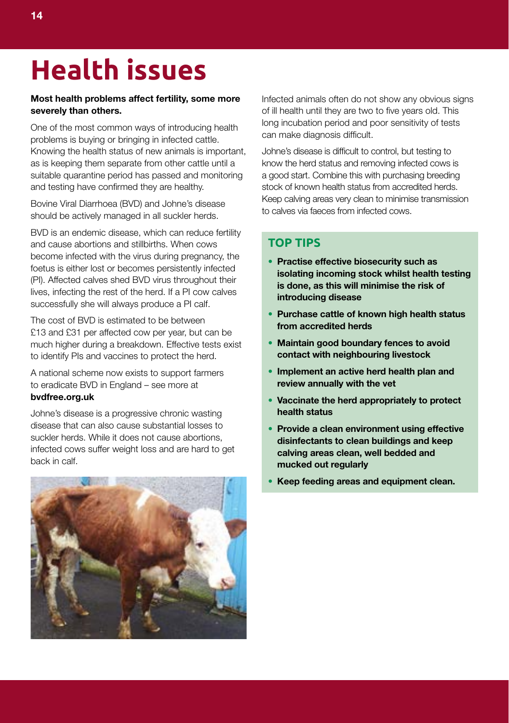# **Health issues**

#### **Most health problems affect fertility, some more severely than others.**

One of the most common ways of introducing health problems is buying or bringing in infected cattle. Knowing the health status of new animals is important, as is keeping them separate from other cattle until a suitable quarantine period has passed and monitoring and testing have confirmed they are healthy.

Bovine Viral Diarrhoea (BVD) and Johne's disease should be actively managed in all suckler herds.

BVD is an endemic disease, which can reduce fertility and cause abortions and stillbirths. When cows become infected with the virus during pregnancy, the foetus is either lost or becomes persistently infected (PI). Affected calves shed BVD virus throughout their lives, infecting the rest of the herd. If a PI cow calves successfully she will always produce a PI calf.

The cost of BVD is estimated to be between £13 and £31 per affected cow per year, but can be much higher during a breakdown. Effective tests exist to identify PIs and vaccines to protect the herd.

A national scheme now exists to support farmers to eradicate BVD in England – see more at **bvdfree.org.uk**

Johne's disease is a progressive chronic wasting disease that can also cause substantial losses to suckler herds. While it does not cause abortions, infected cows suffer weight loss and are hard to get back in calf.



Infected animals often do not show any obvious signs of ill health until they are two to five years old. This long incubation period and poor sensitivity of tests can make diagnosis difficult.

Johne's disease is difficult to control, but testing to know the herd status and removing infected cows is a good start. Combine this with purchasing breeding stock of known health status from accredited herds. Keep calving areas very clean to minimise transmission to calves via faeces from infected cows.

### **TOP TIPS**

- **Practise effective biosecurity such as isolating incoming stock whilst health testing is done, as this will minimise the risk of introducing disease**
- **Purchase cattle of known high health status from accredited herds**
- **Maintain good boundary fences to avoid contact with neighbouring livestock**
- **Implement an active herd health plan and review annually with the vet**
- **Vaccinate the herd appropriately to protect health status**
- **Provide a clean environment using effective disinfectants to clean buildings and keep calving areas clean, well bedded and mucked out regularly**
- **Keep feeding areas and equipment clean.**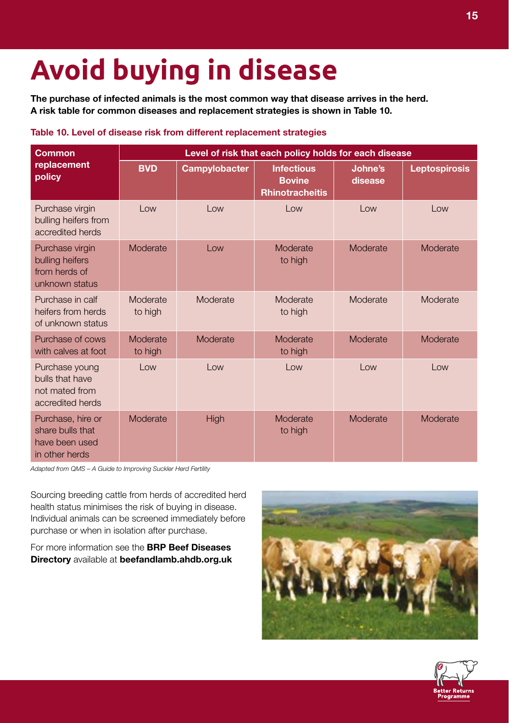# **Avoid buying in disease**

**The purchase of infected animals is the most common way that disease arrives in the herd. A risk table for common diseases and replacement strategies is shown in Table 10.**

#### **Table 10. Level of disease risk from different replacement strategies**

| <b>Common</b>                                                             | Level of risk that each policy holds for each disease |               |                                                              |                    |                      |
|---------------------------------------------------------------------------|-------------------------------------------------------|---------------|--------------------------------------------------------------|--------------------|----------------------|
| replacement<br>policy                                                     | <b>BVD</b>                                            | Campylobacter | <b>Infectious</b><br><b>Bovine</b><br><b>Rhinotracheitis</b> | Johne's<br>disease | <b>Leptospirosis</b> |
| Purchase virgin<br>bulling heifers from<br>accredited herds               | Low                                                   | Low           | Low                                                          | Low                | Low                  |
| Purchase virgin<br>bulling heifers<br>from herds of<br>unknown status     | Moderate                                              | $1$ OW        | Moderate<br>to high                                          | Moderate           | Moderate             |
| Purchase in calf<br>heifers from herds<br>of unknown status               | Moderate<br>to high                                   | Moderate      | Moderate<br>to high                                          | Moderate           | Moderate             |
| Purchase of cows<br>with calves at foot                                   | Moderate<br>to high                                   | Moderate      | Moderate<br>to high                                          | Moderate           | Moderate             |
| Purchase young<br>bulls that have<br>not mated from<br>accredited herds   | Low                                                   | Low           | Low                                                          | Low                | Low                  |
| Purchase, hire or<br>share bulls that<br>have been used<br>in other herds | Moderate                                              | High          | Moderate<br>to high                                          | Moderate           | Moderate             |

*Adapted from QMS – A Guide to Improving Suckler Herd Fertility*

Sourcing breeding cattle from herds of accredited herd health status minimises the risk of buying in disease. Individual animals can be screened immediately before purchase or when in isolation after purchase.

For more information see the **BRP Beef Diseases Directory** available at **beefandlamb.ahdb.org.uk**



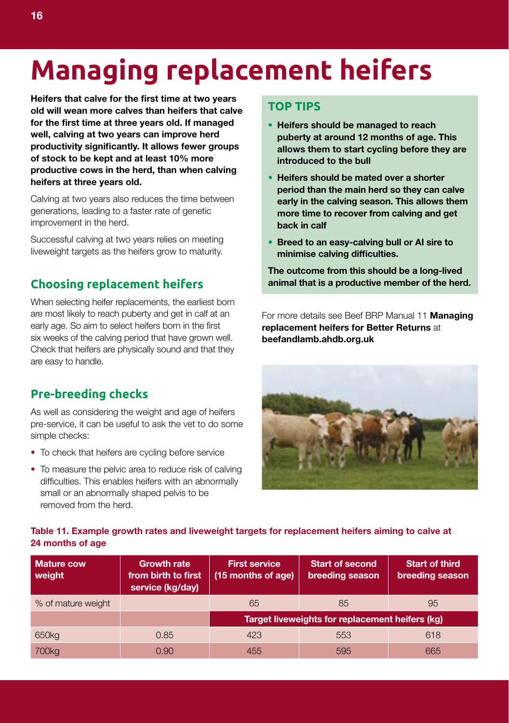# **Managing replacement heifers**

**Heifers that calve for the first time at two years old will wean more calves than heifers that calve for the first time at three years old. If managed well, calving at two years can improve herd productivity significantly. It allows fewer groups of stock to be kept and at least 10% more productive cows in the herd, than when calving heifers at three years old.** 

Calving at two years also reduces the time between generations, leading to a faster rate of genetic improvement in the herd.

Successful calving at two years relies on meeting liveweight targets as the heifers grow to maturity.

### **Choosing replacement heifers**

When selecting heifer replacements, the earliest born are most likely to reach puberty and get in calf at an early age. So aim to select heifers born in the first six weeks of the calving period that have grown well. Check that heifers are physically sound and that they are easy to handle.

### **Pre-breeding checks**

As well as considering the weight and age of heifers pre-service, it can be useful to ask the vet to do some simple checks:

- To check that heifers are cycling before service
- To measure the pelvic area to reduce risk of calving difficulties. This enables heifers with an abnormally small or an abnormally shaped pelvis to be removed from the herd.

#### **TOP TIPS**

- **Heifers should be managed to reach puberty at around 12 months of age. This allows them to start cycling before they are introduced to the bull**
- **Heifers should be mated over a shorter period than the main herd so they can calve early in the calving season. This allows them more time to recover from calving and get back in calf**
- **Breed to an easy-calving bull or AI sire to minimise calving difficulties.**

**The outcome from this should be a long-lived animal that is a productive member of the herd.** 

For more details see Beef BRP Manual 11 **Managing replacement heifers for Better Returns** at **beefandlamb.ahdb.org.uk**



#### **Table 11. Example growth rates and liveweight targets for replacement heifers aiming to calve at 24 months of age**

| <b>Mature cow</b><br>weight | <b>Growth rate</b><br>from birth to first<br>service (kg/day) | <b>First service</b><br>(15 months of age) | <b>Start of second</b><br>breeding season       | <b>Start of third</b><br>breeding season |
|-----------------------------|---------------------------------------------------------------|--------------------------------------------|-------------------------------------------------|------------------------------------------|
| % of mature weight          |                                                               | 65                                         | 85                                              | 95                                       |
|                             |                                                               |                                            | Target liveweights for replacement heifers (kg) |                                          |
| 650 <sub>kg</sub>           | 0.85                                                          | 423                                        | 553                                             | 618                                      |
| 700 <sub>kg</sub>           | 0.90                                                          | 455                                        | 595                                             | 665                                      |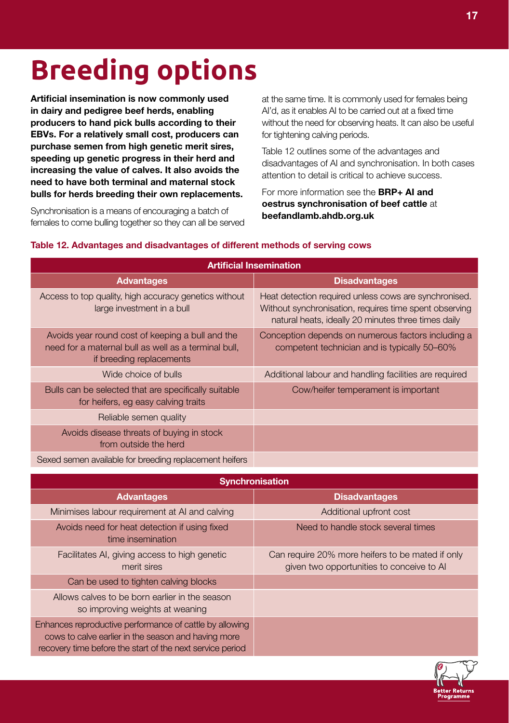# **Breeding options**

**Artificial insemination is now commonly used in dairy and pedigree beef herds, enabling producers to hand pick bulls according to their EBVs. For a relatively small cost, producers can purchase semen from high genetic merit sires, speeding up genetic progress in their herd and increasing the value of calves. It also avoids the need to have both terminal and maternal stock bulls for herds breeding their own replacements.**

Synchronisation is a means of encouraging a batch of females to come bulling together so they can all be served

at the same time. It is commonly used for females being AI'd, as it enables AI to be carried out at a fixed time without the need for observing heats. It can also be useful for tightening calving periods.

Table 12 outlines some of the advantages and disadvantages of AI and synchronisation. In both cases attention to detail is critical to achieve success.

For more information see the **BRP+ AI and oestrus synchronisation of beef cattle** at **beefandlamb.ahdb.org.uk**

| <b>Artificial Insemination</b>                                                                                                       |                                                                                                                                                                        |  |  |
|--------------------------------------------------------------------------------------------------------------------------------------|------------------------------------------------------------------------------------------------------------------------------------------------------------------------|--|--|
| <b>Advantages</b>                                                                                                                    | <b>Disadvantages</b>                                                                                                                                                   |  |  |
| Access to top quality, high accuracy genetics without<br>large investment in a bull                                                  | Heat detection required unless cows are synchronised.<br>Without synchronisation, requires time spent observing<br>natural heats, ideally 20 minutes three times daily |  |  |
| Avoids year round cost of keeping a bull and the<br>need for a maternal bull as well as a terminal bull.<br>if breeding replacements | Conception depends on numerous factors including a<br>competent technician and is typically 50-60%                                                                     |  |  |
| Wide choice of bulls                                                                                                                 | Additional labour and handling facilities are required                                                                                                                 |  |  |
| Bulls can be selected that are specifically suitable<br>for heifers, eg easy calving traits                                          | Cow/heifer temperament is important                                                                                                                                    |  |  |
| Reliable semen quality                                                                                                               |                                                                                                                                                                        |  |  |
| Avoids disease threats of buying in stock<br>from outside the herd                                                                   |                                                                                                                                                                        |  |  |
| Sexed semen available for breeding replacement heifers                                                                               |                                                                                                                                                                        |  |  |

#### **Table 12. Advantages and disadvantages of different methods of serving cows**

| <b>Synchronisation</b>                                                                                                                                                      |                                                                                               |  |
|-----------------------------------------------------------------------------------------------------------------------------------------------------------------------------|-----------------------------------------------------------------------------------------------|--|
| <b>Advantages</b>                                                                                                                                                           | <b>Disadvantages</b>                                                                          |  |
| Minimises labour requirement at AI and calving                                                                                                                              | Additional upfront cost                                                                       |  |
| Avoids need for heat detection if using fixed<br>time insemination                                                                                                          | Need to handle stock several times                                                            |  |
| Facilitates AI, giving access to high genetic<br>merit sires                                                                                                                | Can require 20% more heifers to be mated if only<br>given two opportunities to conceive to AI |  |
| Can be used to tighten calving blocks                                                                                                                                       |                                                                                               |  |
| Allows calves to be born earlier in the season<br>so improving weights at weaning                                                                                           |                                                                                               |  |
| Enhances reproductive performance of cattle by allowing<br>cows to calve earlier in the season and having more<br>recovery time before the start of the next service period |                                                                                               |  |

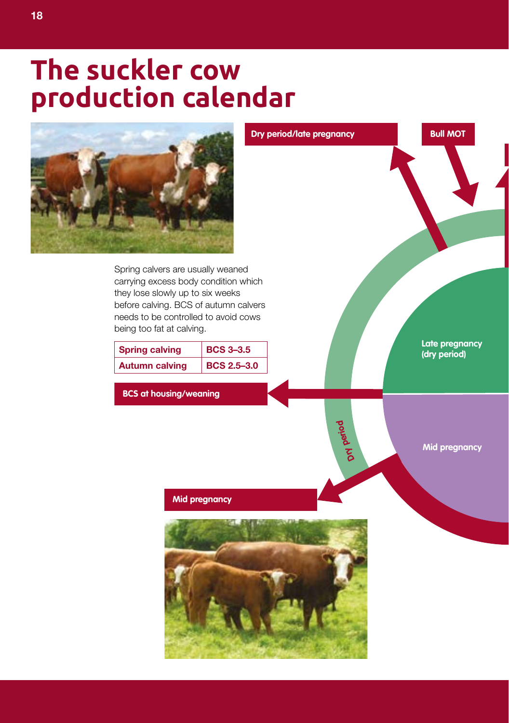### **The suckler cow production calendar**



Spring calvers are usually weaned carrying excess body condition which they lose slowly up to six weeks before calving. BCS of autumn calvers needs to be controlled to avoid cows being too fat at calving.

| <b>Spring calving</b> | <b>BCS 3-3.5</b>   |
|-----------------------|--------------------|
| <b>Autumn calving</b> | <b>BCS 2.5-3.0</b> |

**BCS at housing/weaning**

**Late pregnancy (dry period)**

**Bull MOT**

**Mid pregnancy** 

**Dry**

**per oi d**

**Dry period/late pregnancy**

#### **Mid pregnancy**

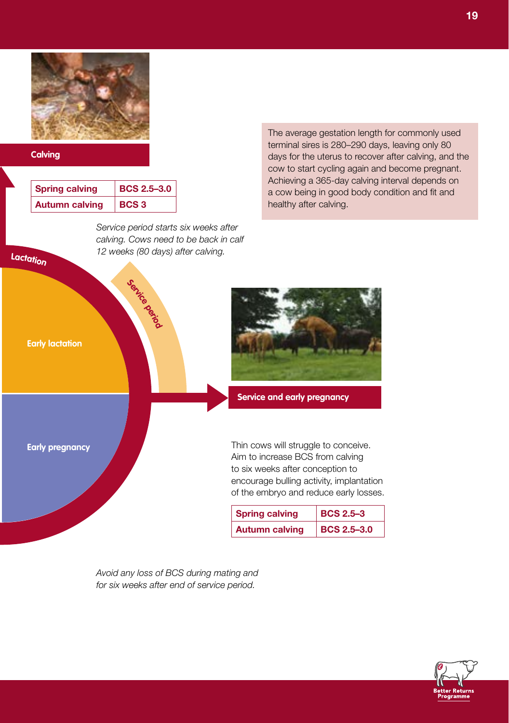#### **Calving**

**<sup>L</sup>actatio<sup>n</sup>**

| <b>Spring calving</b> | BCS 2.5-3.0      |
|-----------------------|------------------|
| <b>Autumn calving</b> | BCS <sub>3</sub> |

*Service period starts six weeks after calving. Cows need to be back in calf 12 weeks (80 days) after calving.*

The average gestation length for commonly used terminal sires is 280–290 days, leaving only 80 days for the uterus to recover after calving, and the cow to start cycling again and become pregnant. Achieving a 365-day calving interval depends on a cow being in good body condition and fit and healthy after calving.



of the embryo and reduce early losses.

| <b>Spring calving</b> | <b>BCS 2.5-3</b>   |
|-----------------------|--------------------|
| <b>Autumn calving</b> | <b>BCS 2.5-3.0</b> |

*Avoid any loss of BCS during mating and for six weeks after end of service period.*